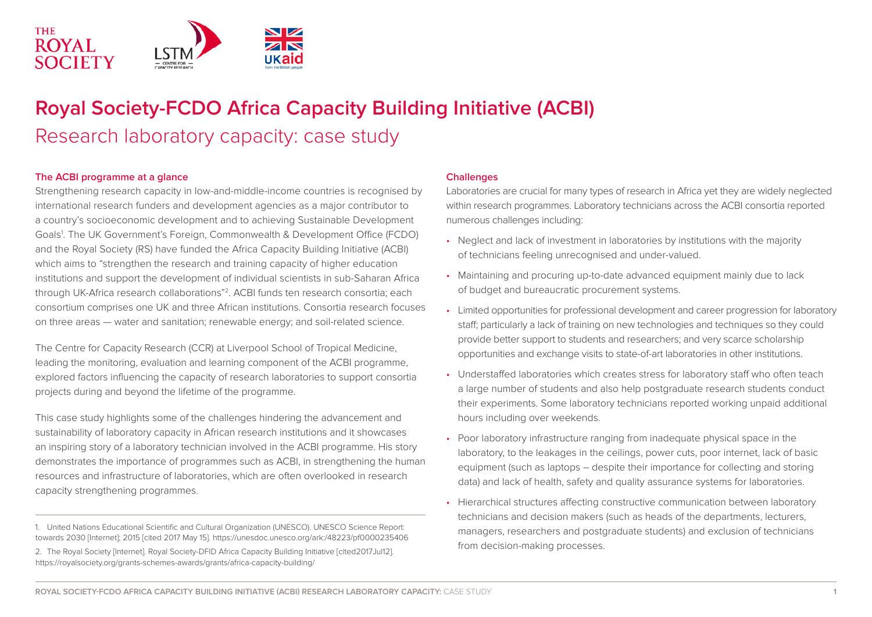

# **Royal Society-FCDO Africa Capacity Building Initiative (ACBI)**  Research laboratory capacity: case study

#### **The ACBI programme at a glance**

Strengthening research capacity in low-and-middle-income countries is recognised by international research funders and development agencies as a major contributor to a country's socioeconomic development and to achieving Sustainable Development Goals<sup>1</sup>. The UK Government's Foreign, Commonwealth & Development Office (FCDO) and the Royal Society (RS) have funded the Africa Capacity Building Initiative (ACBI) which aims to "strengthen the research and training capacity of higher education institutions and support the development of individual scientists in sub-Saharan Africa through UK-Africa research collaborations"2. ACBI funds ten research consortia; each consortium comprises one UK and three African institutions. Consortia research focuses on three areas — water and sanitation; renewable energy; and soil-related science.

The Centre for Capacity Research (CCR) at Liverpool School of Tropical Medicine, leading the monitoring, evaluation and learning component of the ACBI programme, explored factors influencing the capacity of research laboratories to support consortia projects during and beyond the lifetime of the programme.

This case study highlights some of the challenges hindering the advancement and sustainability of laboratory capacity in African research institutions and it showcases an inspiring story of a laboratory technician involved in the ACBI programme. His story demonstrates the importance of programmes such as ACBI, in strengthening the human resources and infrastructure of laboratories, which are often overlooked in research capacity strengthening programmes.

#### **Challenges**

Laboratories are crucial for many types of research in Africa yet they are widely neglected within research programmes. Laboratory technicians across the ACBI consortia reported numerous challenges including:

- Neglect and lack of investment in laboratories by institutions with the majority of technicians feeling unrecognised and under-valued.
- Maintaining and procuring up-to-date advanced equipment mainly due to lack of budget and bureaucratic procurement systems.
- Limited opportunities for professional development and career progression for laboratory staff; particularly a lack of training on new technologies and techniques so they could provide better support to students and researchers; and very scarce scholarship opportunities and exchange visits to state-of-art laboratories in other institutions.
- Understaffed laboratories which creates stress for laboratory staff who often teach a large number of students and also help postgraduate research students conduct their experiments. Some laboratory technicians reported working unpaid additional hours including over weekends.
- Poor laboratory infrastructure ranging from inadequate physical space in the laboratory, to the leakages in the ceilings, power cuts, poor internet, lack of basic equipment (such as laptops – despite their importance for collecting and storing data) and lack of health, safety and quality assurance systems for laboratories.
- Hierarchical structures affecting constructive communication between laboratory technicians and decision makers (such as heads of the departments, lecturers, managers, researchers and postgraduate students) and exclusion of technicians from decision-making processes.

<sup>1.</sup> United Nations Educational Scientific and Cultural Organization (UNESCO). UNESCO Science Report: towards 2030 [Internet]; 2015 [cited 2017 May 15]. https://unesdoc.unesco.org/ark:/48223/pf0000235406 2. The Royal Society [Internet]. Royal Society-DFID Africa Capacity Building Initiative [cited2017Jul12]. https://royalsociety.org/grants-schemes-awards/grants/africa-capacity-building/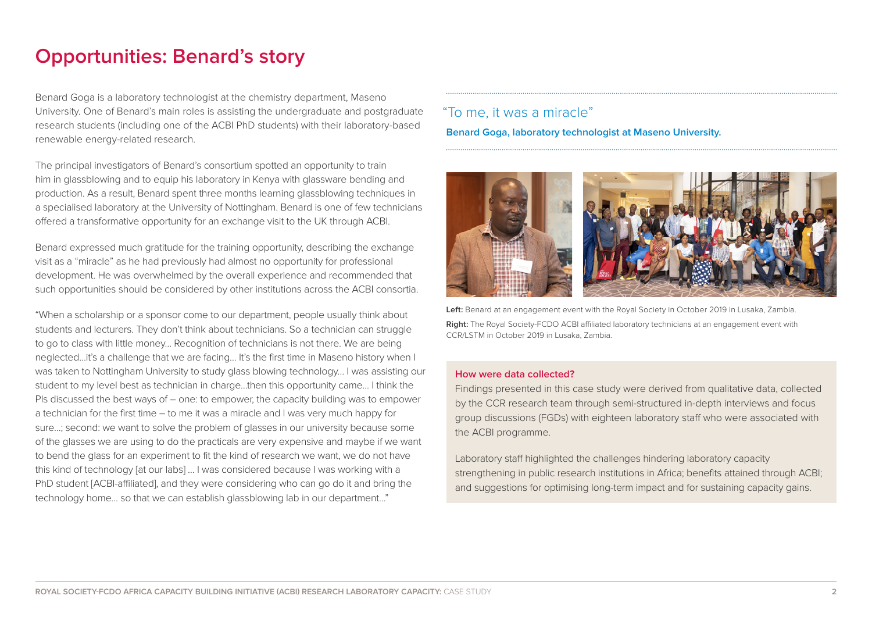## **Opportunities: Benard's story**

Benard Goga is a laboratory technologist at the chemistry department, Maseno University. One of Benard's main roles is assisting the undergraduate and postgraduate research students (including one of the ACBI PhD students) with their laboratory-based renewable energy-related research.

The principal investigators of Benard's consortium spotted an opportunity to train him in glassblowing and to equip his laboratory in Kenya with glassware bending and production. As a result, Benard spent three months learning glassblowing techniques in a specialised laboratory at the University of Nottingham. Benard is one of few technicians offered a transformative opportunity for an exchange visit to the UK through ACBI.

Benard expressed much gratitude for the training opportunity, describing the exchange visit as a "miracle" as he had previously had almost no opportunity for professional development. He was overwhelmed by the overall experience and recommended that such opportunities should be considered by other institutions across the ACBI consortia.

"When a scholarship or a sponsor come to our department, people usually think about students and lecturers. They don't think about technicians. So a technician can struggle to go to class with little money… Recognition of technicians is not there. We are being neglected…it's a challenge that we are facing… It's the first time in Maseno history when I was taken to Nottingham University to study glass blowing technology… I was assisting our student to my level best as technician in charge…then this opportunity came… I think the PIs discussed the best ways of – one: to empower, the capacity building was to empower a technician for the first time – to me it was a miracle and I was very much happy for sure…; second: we want to solve the problem of glasses in our university because some of the glasses we are using to do the practicals are very expensive and maybe if we want to bend the glass for an experiment to fit the kind of research we want, we do not have this kind of technology [at our labs] … I was considered because I was working with a PhD student [ACBI-affiliated], and they were considering who can go do it and bring the technology home… so that we can establish glassblowing lab in our department…"

### "To me, it was a miracle"

**Benard Goga, laboratory technologist at Maseno University.**



**Left:** Benard at an engagement event with the Royal Society in October 2019 in Lusaka, Zambia. **Right:** The Royal Society-FCDO ACBI affiliated laboratory technicians at an engagement event with CCR/LSTM in October 2019 in Lusaka, Zambia.

#### **How were data collected?**

Findings presented in this case study were derived from qualitative data, collected by the CCR research team through semi-structured in-depth interviews and focus group discussions (FGDs) with eighteen laboratory staff who were associated with the ACBI programme.

Laboratory staff highlighted the challenges hindering laboratory capacity strengthening in public research institutions in Africa; benefits attained through ACBI; and suggestions for optimising long-term impact and for sustaining capacity gains.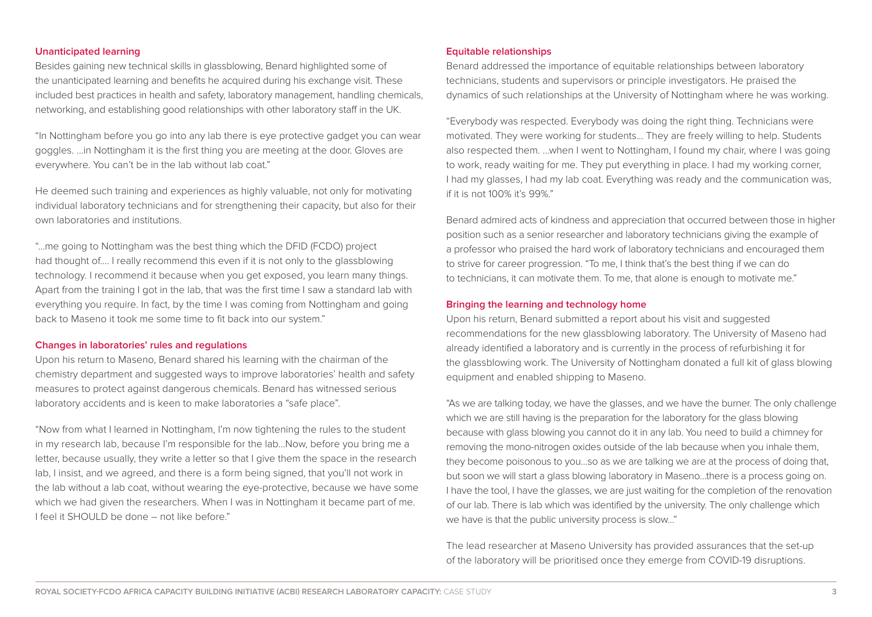#### **Unanticipated learning**

Besides gaining new technical skills in glassblowing, Benard highlighted some of the unanticipated learning and benefits he acquired during his exchange visit. These included best practices in health and safety, laboratory management, handling chemicals, networking, and establishing good relationships with other laboratory staff in the UK.

"In Nottingham before you go into any lab there is eye protective gadget you can wear goggles. ...in Nottingham it is the first thing you are meeting at the door. Gloves are everywhere. You can't be in the lab without lab coat."

He deemed such training and experiences as highly valuable, not only for motivating individual laboratory technicians and for strengthening their capacity, but also for their own laboratories and institutions.

"...me going to Nottingham was the best thing which the DFID (FCDO) project had thought of…. I really recommend this even if it is not only to the glassblowing technology. I recommend it because when you get exposed, you learn many things. Apart from the training I got in the lab, that was the first time I saw a standard lab with everything you require. In fact, by the time I was coming from Nottingham and going back to Maseno it took me some time to fit back into our system."

#### **Changes in laboratories' rules and regulations**

Upon his return to Maseno, Benard shared his learning with the chairman of the chemistry department and suggested ways to improve laboratories' health and safety measures to protect against dangerous chemicals. Benard has witnessed serious laboratory accidents and is keen to make laboratories a "safe place".

"Now from what I learned in Nottingham, I'm now tightening the rules to the student in my research lab, because I'm responsible for the lab…Now, before you bring me a letter, because usually, they write a letter so that I give them the space in the research lab, I insist, and we agreed, and there is a form being signed, that you'll not work in the lab without a lab coat, without wearing the eye-protective, because we have some which we had given the researchers. When I was in Nottingham it became part of me. I feel it SHOULD be done – not like before."

#### **Equitable relationships**

Benard addressed the importance of equitable relationships between laboratory technicians, students and supervisors or principle investigators. He praised the dynamics of such relationships at the University of Nottingham where he was working.

"Everybody was respected. Everybody was doing the right thing. Technicians were motivated. They were working for students... They are freely willing to help. Students also respected them. …when I went to Nottingham, I found my chair, where I was going to work, ready waiting for me. They put everything in place. I had my working corner, I had my glasses, I had my lab coat. Everything was ready and the communication was, if it is not 100% it's 99%."

Benard admired acts of kindness and appreciation that occurred between those in higher position such as a senior researcher and laboratory technicians giving the example of a professor who praised the hard work of laboratory technicians and encouraged them to strive for career progression. "To me, I think that's the best thing if we can do to technicians, it can motivate them. To me, that alone is enough to motivate me."

#### **Bringing the learning and technology home**

Upon his return, Benard submitted a report about his visit and suggested recommendations for the new glassblowing laboratory. The University of Maseno had already identified a laboratory and is currently in the process of refurbishing it for the glassblowing work. The University of Nottingham donated a full kit of glass blowing equipment and enabled shipping to Maseno.

"As we are talking today, we have the glasses, and we have the burner. The only challenge which we are still having is the preparation for the laboratory for the glass blowing because with glass blowing you cannot do it in any lab. You need to build a chimney for removing the mono-nitrogen oxides outside of the lab because when you inhale them, they become poisonous to you…so as we are talking we are at the process of doing that, but soon we will start a glass blowing laboratory in Maseno…there is a process going on. I have the tool, I have the glasses, we are just waiting for the completion of the renovation of our lab. There is lab which was identified by the university. The only challenge which we have is that the public university process is slow…"

The lead researcher at Maseno University has provided assurances that the set-up of the laboratory will be prioritised once they emerge from COVID-19 disruptions.